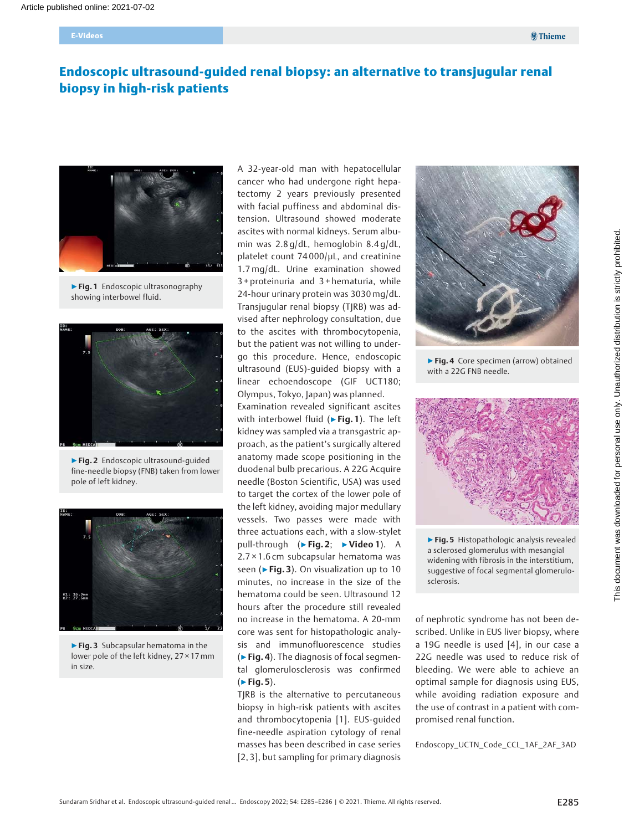# Endoscopic ultrasound-guided renal biopsy: an alternative to transjugular renal biopsy in high-risk patients



▶ Fig. 1 Endoscopic ultrasonography showing interbowel fluid.



▶Fig. 2 Endoscopic ultrasound-guided fine-needle biopsy (FNB) taken from lower pole of left kidney.



▶ Fig. 3 Subcapsular hematoma in the lower pole of the left kidney, 27 × 17 mm in size.

A 32-year-old man with hepatocellular cancer who had undergone right hepatectomy 2 years previously presented with facial puffiness and abdominal distension. Ultrasound showed moderate ascites with normal kidneys. Serum albumin was 2.8 g/dL, hemoglobin 8.4 g/dL, platelet count 74 000/μL, and creatinine 1.7mg/dL. Urine examination showed 3 + proteinuria and 3 + hematuria, while 24-hour urinary protein was 3030mg/dL. Transjugular renal biopsy (TJRB) was advised after nephrology consultation, due to the ascites with thrombocytopenia, but the patient was not willing to undergo this procedure. Hence, endoscopic ultrasound (EUS)-guided biopsy with a linear echoendoscope (GIF UCT180; Olympus, Tokyo, Japan) was planned.

Examination revealed significant ascites with interbowel fluid (▶Fig. 1). The left kidney was sampled via a transgastric approach, as the patient's surgically altered anatomy made scope positioning in the duodenal bulb precarious. A 22G Acquire needle (Boston Scientific, USA) was used to target the cortex of the lower pole of the left kidney, avoiding major medullary vessels. Two passes were made with three actuations each, with a slow-stylet pull-through (▶Fig. 2; ▶Video 1). A 2.7 × 1.6 cm subcapsular hematoma was seen ( $\blacktriangleright$  Fig. 3). On visualization up to 10 minutes, no increase in the size of the hematoma could be seen. Ultrasound 12 hours after the procedure still revealed no increase in the hematoma. A 20-mm core was sent for histopathologic analysis and immunofluorescence studies (▶Fig. 4). The diagnosis of focal segmental glomerulosclerosis was confirmed  $(F$ Fig. 5).

TJRB is the alternative to percutaneous biopsy in high-risk patients with ascites and thrombocytopenia [1]. EUS-guided fine-needle aspiration cytology of renal masses has been described in case series [2, 3], but sampling for primary diagnosis



▶ Fig. 4 Core specimen (arrow) obtained with a 22G FNB needle.



▶ Fig. 5 Histopathologic analysis revealed a sclerosed glomerulus with mesangial widening with fibrosis in the interstitium, suggestive of focal segmental glomerulosclerosis.

of nephrotic syndrome has not been described. Unlike in EUS liver biopsy, where a 19G needle is used [4], in our case a 22G needle was used to reduce risk of bleeding. We were able to achieve an optimal sample for diagnosis using EUS, while avoiding radiation exposure and the use of contrast in a patient with compromised renal function.

Endoscopy\_UCTN\_Code\_CCL\_1AF\_2AF\_3AD